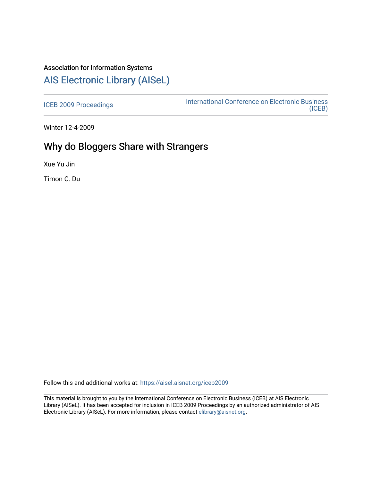### Association for Information Systems

# [AIS Electronic Library \(AISeL\)](https://aisel.aisnet.org/)

[ICEB 2009 Proceedings](https://aisel.aisnet.org/iceb2009) **International Conference on Electronic Business** [\(ICEB\)](https://aisel.aisnet.org/iceb) 

Winter 12-4-2009

# Why do Bloggers Share with Strangers

Xue Yu Jin

Timon C. Du

Follow this and additional works at: [https://aisel.aisnet.org/iceb2009](https://aisel.aisnet.org/iceb2009?utm_source=aisel.aisnet.org%2Ficeb2009%2F86&utm_medium=PDF&utm_campaign=PDFCoverPages)

This material is brought to you by the International Conference on Electronic Business (ICEB) at AIS Electronic Library (AISeL). It has been accepted for inclusion in ICEB 2009 Proceedings by an authorized administrator of AIS Electronic Library (AISeL). For more information, please contact [elibrary@aisnet.org.](mailto:elibrary@aisnet.org%3E)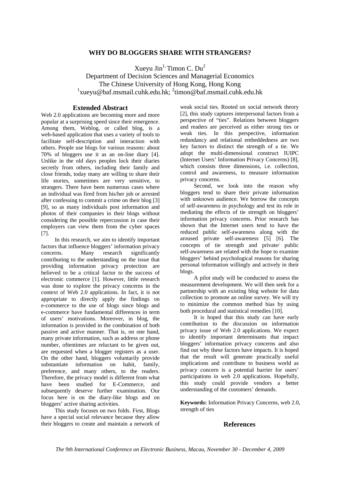### **WHY DO BLOGGERS SHARE WITH STRANGERS?**

Xueyu Jin<sup>1,</sup> Timon C. Du<sup>2</sup> Department of Decision Sciences and Managerial Economics The Chinese University of Hong Kong, Hong Kong 1 xueyu@baf.msmail.cuhk.edu.hk; 2 timon@baf.msmail.cuhk.edu.hk

### **Extended Abstract**

Web 2.0 applications are becoming more and more popular at a surprising speed since their emergence. Among them, Weblog, or called blog, is a web-based application that uses a variety of tools to facilitate self-description and interaction with others. People use blogs for various reasons: about 70% of bloggers use it as an on-line diary [4]. Unlike in the old days peoples lock their diaries secretly from others, including their family and close friends, today many are willing to share their life stories, sometimes are very sensitive, to strangers. There have been numerous cases where an individual was fired from his/her job or arrested after confessing to commit a crime on their blog [3] [9], so as many individuals post information and photos of their companies in their blogs without considering the possible repercussion in case their employers can view them from the cyber spaces [7].

In this research, we aim to identify important factors that influence bloggers' information privacy concerns. Many research significantly contributing to the understanding on the issue that providing information privacy protection are believed to be a critical factor to the success of electronic commerce [1]. However, little research was done to explore the privacy concerns in the context of Web 2.0 applications. In fact, it is not appropriate to directly apply the findings on e-commerce to the use of blogs since blogs and e-commerce have fundamental differences in term of users' motivations. Moreover, in blog, the information is provided in the combination of both passive and active manner. That is, on one hand, many private information, such as address or phone number, oftentimes are reluctant to be given out, are requested when a blogger registers as a user. On the other hand, bloggers voluntarily provide substantiate information on habit, family, preference, and many others, to the readers. Therefore, the privacy model is different from what have been studied for E-Commerce, and subsequently deserve further examination. Our focus here is on the diary-like blogs and on bloggers' active sharing activities.

This study focuses on two folds. First, Blogs have a special social relevance because they allow their bloggers to create and maintain a network of weak social ties. Rooted on social network theory [2], this study captures interpersonal factors from a perspective of "ties". Relations between bloggers and readers are perceived as either strong ties or weak ties. In this perspective, information redundancy and relational embeddedness are two key factors to distinct the strength of a tie. We adopt the multi-dimensional construct IUIPC (Internet Users' Information Privacy Concerns) [8], which consists three dimensions, *i.e.* collection, control and awareness, to measure information privacy concerns.

Second, we look into the reason why bloggers tend to share their private information with unknown audience. We borrow the concepts of self-awareness in psychology and test its role in mediating the effects of tie strength on bloggers' information privacy concerns. Prior research has shown that the Internet users tend to have the reduced public self-awareness along with the aroused private self-awareness [5] [6]. The concepts of tie strength and private/ public self-awareness are related with the hope to examine bloggers' behind psychological reasons for sharing personal information willingly and actively in their blogs.

A pilot study will be conducted to assess the measurement development. We will then seek for a partnership with an existing blog website for data collection to promote an online survey. We will try to minimize the common method bias by using both procedural and statistical remedies [10].

It is hoped that this study can have early contribution to the discussion on information privacy issue of Web 2.0 applications. We expect to identify important determinants that impact bloggers' information privacy concerns and also find out why these factors have impacts. It is hoped that the result will generate practically useful implications and contribute to business world as privacy concern is a potential barrier for users' participations in web 2.0 applications. Hopefully, this study could provide vendors a better understanding of the customers' demands.

**Keywords:** Information Privacy Concerns, web 2.0, strength of ties

#### **References**